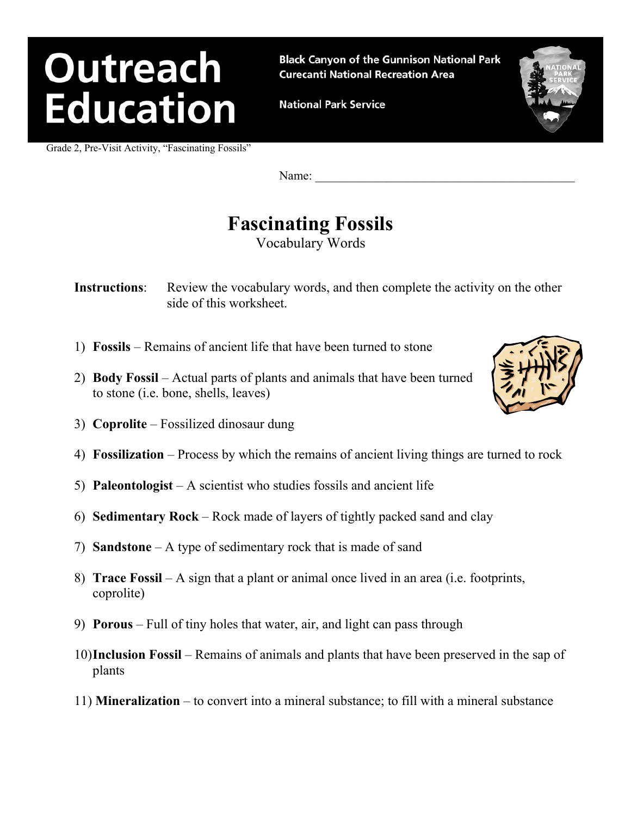**Black Canyon of the Gunnison National Park Curecanti National Recreation Area** 

**National Park Service** 

Grade 2, Pre-Visit Activity, "Fascinating Fossils"

### **Fascinating Fossils**

Vocabulary Words

- **Instructions:** Review the vocabulary words, and then complete the activity on the other side of this worksheet.
- 1) **Fossils** Remains of ancient life that have been turned to stone
- 2) **Body Fossil** Actual parts of plants and animals that have been turned to stone (i.e. bone, shells, leaves)
- 3) **Coprolite** Fossilized dinosaur dung
- 4) **Fossilization** Process by which the remains of ancient living things are turned to rock
- 5) **Paleontologist** A scientist who studies fossils and ancient life
- 6) **Sedimentary Rock** Rock made of layers of tightly packed sand and clay
- 7) **Sandstone** A type of sedimentary rock that is made of sand
- 8) **Trace Fossil** A sign that a plant or animal once lived in an area (i.e. footprints, coprolite)
- 9) **Porous** Full of tiny holes that water, air, and light can pass through
- 10) **Inclusion Fossil** Remains of animals and plants that have been preserved in the sap of plants
- 11) **Mineralization** to convert into a mineral substance; to fill with a mineral substance





Name: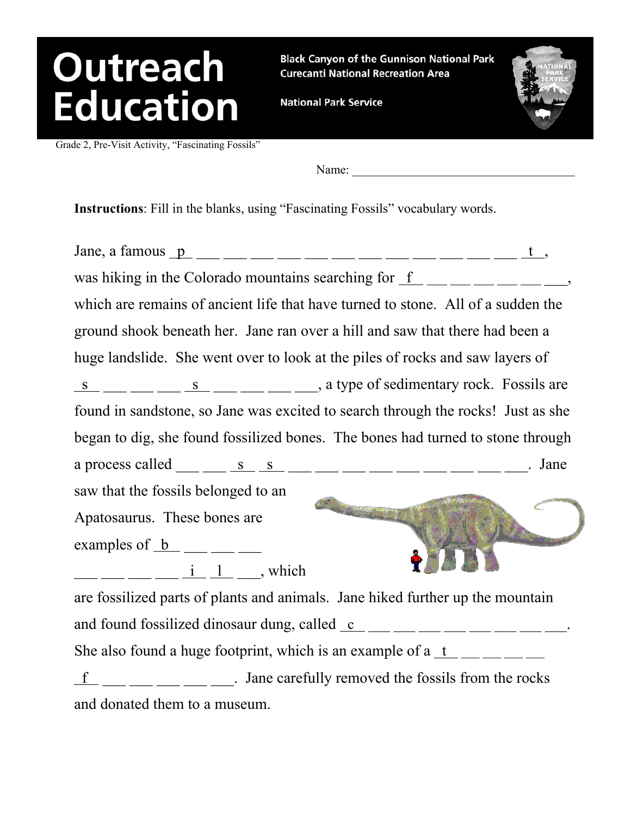**Black Canyon of the Gunnison National Park Curecanti National Recreation Area** 

**National Park Service** 

Grade 2, Pre-Visit Activity, "Fascinating Fossils"

Name:

**Instructions**: Fill in the blanks, using "Fascinating Fossils" vocabulary words.

Jane, a famous p \_\_\_ \_\_\_ \_\_\_ \_\_\_ \_\_\_ \_\_\_ \_\_\_ \_\_\_ \_\_\_ \_\_\_ \_\_\_ \_\_\_ t , was hiking in the Colorado mountains searching for  $f_{\text{max}} = 1$ which are remains of ancient life that have turned to stone. All of a sudden the ground shook beneath her. Jane ran over a hill and saw that there had been a huge landslide. She went over to look at the piles of rocks and saw layers of  $\frac{s}{s}$  \_\_ \_ \_ s \_ \_ \_ \_ \_ \_ \_ \_ a type of sedimentary rock. Fossils are found in sandstone, so Jane was excited to search through the rocks! Just as she began to dig, she found fossilized bones. The bones had turned to stone through a process called  $\underline{\hspace{1cm}} s$  s  $\underline{\hspace{1cm}} s$   $\underline{\hspace{1cm}} s$   $\underline{\hspace{1cm}} s$   $\underline{\hspace{1cm}} s$   $\underline{\hspace{1cm}} s$   $\underline{\hspace{1cm}} s$   $\underline{\hspace{1cm}} s$   $\underline{\hspace{1cm}} s$   $\underline{\hspace{1cm}} s$   $\underline{\hspace{1cm}} s$   $\underline{\hspace{1cm}} s$   $\underline{\hspace{1cm}} s$   $\underline{\hspace{1cm}} s$   $\underline{\hs$ saw that the fossils belonged to an Apatosaurus. These bones are examples of  $b$   $\_\_\_\_\_\_\_\_\_\_\_\_\_\_\_\_\_$ \_\_\_ \_\_\_ \_\_\_ \_\_\_ i l \_\_\_, which are fossilized parts of plants and animals. Jane hiked further up the mountain and found fossilized dinosaur dung, called  $c$  \_\_ \_\_ \_\_ \_\_ \_\_ \_\_ \_\_ \_\_ \_\_ \_\_\_ She also found a huge footprint, which is an example of a  $t$  \_\_ \_\_ \_\_ \_\_  $\underline{f}$  \_\_ \_\_ \_\_ \_\_ \_\_ . Jane carefully removed the fossils from the rocks and donated them to a museum.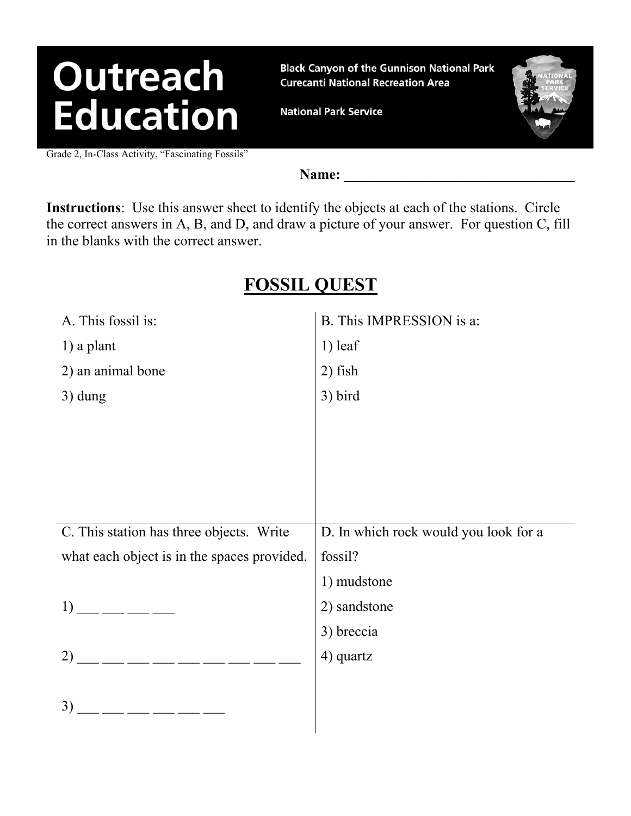**Black Canyon of the Gunnison National Park Curecanti National Recreation Area** 

**National Park Service** 

Grade 2, In-Class Activity, "Fascinating Fossils"

Name:

**Instructions**: Use this answer sheet to identify the objects at each of the stations. Circle the correct answers in A, B, and D, and draw a picture of your answer. For question C, fill in the blanks with the correct answer.

#### **FOSSIL QUEST**

| A. This fossil is:                                                                                                                                                                                                                                                                                                                                                                                                          | B. This IMPRESSION is a:              |
|-----------------------------------------------------------------------------------------------------------------------------------------------------------------------------------------------------------------------------------------------------------------------------------------------------------------------------------------------------------------------------------------------------------------------------|---------------------------------------|
| $1)$ a plant                                                                                                                                                                                                                                                                                                                                                                                                                | $1)$ leaf                             |
| 2) an animal bone                                                                                                                                                                                                                                                                                                                                                                                                           | $2)$ fish                             |
| $3)$ dung                                                                                                                                                                                                                                                                                                                                                                                                                   | 3) bird                               |
|                                                                                                                                                                                                                                                                                                                                                                                                                             |                                       |
|                                                                                                                                                                                                                                                                                                                                                                                                                             |                                       |
|                                                                                                                                                                                                                                                                                                                                                                                                                             |                                       |
|                                                                                                                                                                                                                                                                                                                                                                                                                             |                                       |
|                                                                                                                                                                                                                                                                                                                                                                                                                             |                                       |
|                                                                                                                                                                                                                                                                                                                                                                                                                             |                                       |
| C. This station has three objects. Write                                                                                                                                                                                                                                                                                                                                                                                    | D. In which rock would you look for a |
| what each object is in the spaces provided.                                                                                                                                                                                                                                                                                                                                                                                 | fossil?                               |
|                                                                                                                                                                                                                                                                                                                                                                                                                             | 1) mudstone                           |
| $1)$ __ __ __ __                                                                                                                                                                                                                                                                                                                                                                                                            | 2) sandstone                          |
|                                                                                                                                                                                                                                                                                                                                                                                                                             | 3) breccia                            |
| $2)$ __ __ __ __ __ __ __ __ __                                                                                                                                                                                                                                                                                                                                                                                             | 4) quartz                             |
|                                                                                                                                                                                                                                                                                                                                                                                                                             |                                       |
| $\frac{1}{1-\frac{1}{1-\frac{1}{1-\frac{1}{1-\frac{1}{1-\frac{1}{1-\frac{1}{1-\frac{1}{1-\frac{1}{1-\frac{1}{1-\frac{1}{1-\frac{1}{1-\frac{1}{1-\frac{1}{1-\frac{1}{1-\frac{1}{1-\frac{1}{1-\frac{1}{1-\frac{1}{1-\frac{1}{1-\frac{1}{1-\frac{1}{1-\frac{1}{1-\frac{1}{1-\frac{1}{1-\frac{1}{1-\frac{1}{1-\frac{1}{1-\frac{1}{1-\frac{1}{1-\frac{1}{1-\frac{1}{1-\frac{1}{1-\frac{1}{1-\frac{1}{1-\frac{1}{1-\frac{1$<br>3) |                                       |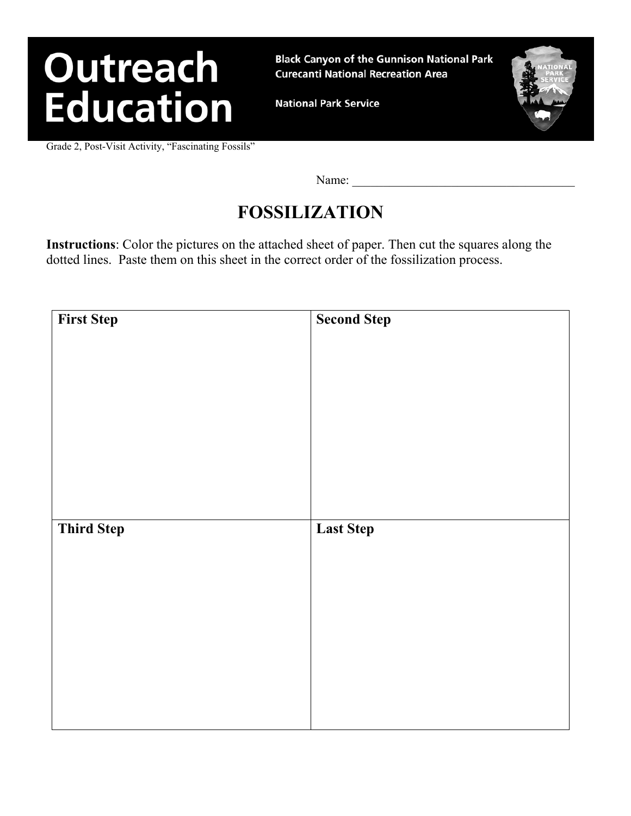**Black Canyon of the Gunnison National Park Curecanti National Recreation Area** 

**National Park Service** 

Grade 2, Post-Visit Activity, "Fascinating Fossils"

Name:

#### **FOSSILIZATION**

**Instructions**: Color the pictures on the attached sheet of paper. Then cut the squares along the dotted lines. Paste them on this sheet in the correct order of the fossilization process.

| <b>First Step</b> | <b>Second Step</b> |
|-------------------|--------------------|
|                   |                    |
|                   |                    |
|                   |                    |
|                   |                    |
|                   |                    |
|                   |                    |
|                   |                    |
|                   |                    |
|                   |                    |
|                   |                    |
| <b>Third Step</b> | <b>Last Step</b>   |
|                   |                    |
|                   |                    |
|                   |                    |
|                   |                    |
|                   |                    |
|                   |                    |
|                   |                    |
|                   |                    |
|                   |                    |
|                   |                    |